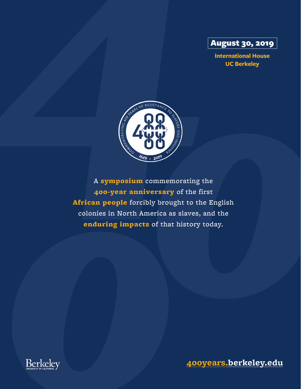

**International House UC Berkeley** 



A symposium commemorating the 400-year anniversary of the first African people forcibly brought to the English colonies in North America as slaves, and the enduring impacts of that history today.



**400years.berkeley.edu**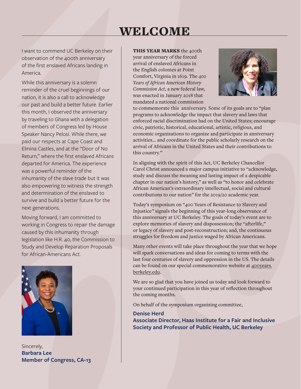# WELCOME

I want to commend UC Berkeley on their observation of the 400th anniversary of the first enslaved Africans landing in America.

While this anniversary is a solemn reminder of the cruel beginnings of our nation, it is also a call to acknowledge our past and build a better future. Earlier this month, I observed the anniversary by traveling to Ghana with a delegation of members of Congress led by House Speaker Nancy Pelosi. While there, we paid our respects at Cape Coast and Elmina Castles, and at the "Door of No Return," where the first enslaved Africans departed for America. The experience was a powerful reminder of the inhumanity of the slave trade but it was also empowering to witness the strength and determination of the enslaved to survive and build a better future for the next generations.

Moving forward, I am committed to working in Congress to repair the damage caused by this inhumanity through legislation like H.R. 40, the Commission to Study and Develop Reparation Proposals for African-Americans Act.



Sincerely, **Barbara Lee Member of Congress, CA-13** 

THIS YEAR MARKS the 400th year anniversary of the forced arrival of enslaved Africans in the English colonies at Point Comfort, Virginia in 1619. The *400 Years of African American History Commission Act*, a new federal law, was enacted in January 2018 that mandated a national commission



to commemorate this anniversary. Some of its goals are to "plan programs to acknowledge the impact that slavery and laws that enforced racial discrimination had on the United States; encourage civic, patriotic, historical, educational, artistic, religious, and economic organizations to organize and participate in anniversary activities... and coordinate for the public scholarly research on the arrival of Africans in the United States and their contributions to this country."

In aligning with the spirit of this Act, UC Berkeley Chancellor Carol Christ announced a major campus initiative to "acknowledge, study and discuss the meaning and lasting impact of a despicable chapter in our nation's history," as well as "to honor and celebrate African American's extraordinary intellectual, social and cultural contributions to our nation" for the 2019/20 academic year.

Today's symposium on "400 Years of Resistance to Slavery and Injustice" signals the beginning of this year-long observance of this anniversary at UC Berkeley. The goals of today's event are to explore memories of slavery and dispossession; the "afterlife," or legacy of slavery and post-reconstruction; and, the continuous struggles for freedom and justice waged by African Americans.

Many other events will take place throughout the year that we hope will spark conversations and ideas for coming to terms with the last four centuries of slavery and oppression in the US. The details can be found on our special commemorative website at 400years. berkeley.edu.

We are so glad that you have joined us today and look forward to your continued participation in this year of reflection throughout the coming months.

On behalf of the symposium organizing committee,

**Denise Herd Associate Director, Haas Institute for a Fair and Inclusive Society and Professor of Public Health, UC Berkeley**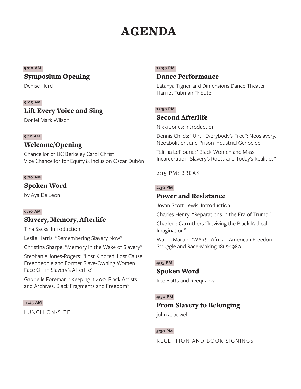# AGENDA

#### **9:00 AM**

## Symposium Opening

Denise Herd

### **9:05 AM**

# Lift Every Voice and Sing

Doniel Mark Wilson

## **9:10 AM**

## Welcome/Opening

Chancellor of UC Berkeley Carol Christ Vice Chancellor for Equity & Inclusion Oscar Dubón

#### **9:20 AM**

## Spoken Word

by Aya De Leon

#### **9:30 AM**

# Slavery, Memory, Afterlife

Tina Sacks: Introduction

Leslie Harris: "Remembering Slavery Now"

Christina Sharpe: "Memory in the Wake of Slavery"

Stephanie Jones-Rogers: "Lost Kindred, Lost Cause: Freedpeople and Former Slave-Owning Women Face Off in Slavery's Afterlife"

Gabrielle Foreman: "Keeping it 400: Black Artists and Archives, Black Fragments and Freedom"

#### **11:45 AM**

LUNCH ON-SITE

### **12:30 PM**

## Dance Performance

Latanya Tigner and Dimensions Dance Theater Harriet Tubman Tribute

### **12:50 PM**

## Second Afterlife

Nikki Jones: Introduction

Dennis Childs: "Until Everybody's Free": Neoslavery, Neoabolition, and Prison Industrial Genocide

Talitha LeFlouria: "Black Women and Mass Incarceration: Slavery's Roots and Today's Realities"

2:15 PM: BREAK

### **2:30 PM**

## Power and Resistance

Jovan Scott Lewis: Introduction

Charles Henry: "Reparations in the Era of Trump" Charlene Carruthers "Reviving the Black Radical Imagination"

Waldo Martin: "WAR!": African American Freedom Struggle and Race-Making 1865-1980

## **4:15 PM**

## Spoken Word

Ree Botts and Reequanza

## **4:30 PM**

# From Slavery to Belonging

john a. powell

## **5:30 PM**

RECEPTION AND BOOK SIGNINGS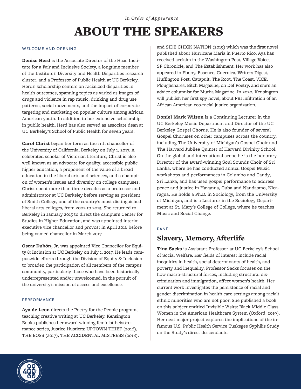# ABOUT THE SPEAKERS

#### WELCOME AND OPENING

**Denise Herd** is the Associate Director of the Haas Institute for a Fair and Inclusive Society, a longtime member of the Institute's Diversity and Health Disparities research cluster, and a Professor of Public Health at UC Berkeley. Herd's scholarship centers on racialized disparities in health outcomes, spanning topics as varied as images of drugs and violence in rap music, drinking and drug use patterns, social movements, and the impact of corporate targeting and marketing on popular culture among African American youth. In addition to her extensive scholarship in public health, Herd has also served as associate dean at UC Berkeley's School of Public Health for seven years.

**Carol Christ** began her term as the 11th chancellor of the University of California, Berkeley on July 1, 2017. A celebrated scholar of Victorian literature, Christ is also well known as an advocate for quality, accessible public higher education, a proponent of the value of a broad education in the liberal arts and sciences, and a champion of women's issues and diversity on college campuses. Christ spent more than three decades as a professor and administrator at UC Berkeley before serving as president of Smith College, one of the country's most distinguished liberal arts colleges, from 2002 to 2013. She returned to Berkeley in January 2015 to direct the campus's Center for Studies in Higher Education, and was appointed interim executive vice chancellor and provost in April 2016 before being named chancellor in March 2017.

**Oscar Dubón, Jr.** was appointed Vice Chancellor for Equity & Inclusion at UC Berkeley on July 1, 2017. He leads campuswide efforts through the Division of Equity & Inclusion to broaden the participation of all members of the campus community, particularly those who have been historically underrepresented and/or unwelcomed, in the pursuit of the university's mission of access and excellence.

#### PERFORMANCE

**Aya de Leon** directs the Poetry for the People program, teaching creative writing at UC Berkeley. Kensington Books publishes her award-winning feminist heist/romance series, Justice Hustlers: UPTOWN THIEF (2016), THE BOSS (2017), THE ACCIDENTAL MISTRESS (2018),

and SIDE CHICK NATION (2019) which was the first novel published about Hurricane Maria in Puerto Rico. Aya has received acclaim in the Washington Post, Village Voice, SF Chronicle, and The Establishment. Her work has also appeared in Ebony, Essence, Guernica, Writers Digest, Huffington Post, Catapult, The Root, The Toast, VICE, Ploughshares, Bitch Magazine, on Def Poetry, and she's an advice columnist for Mutha Magazine. In 2020, Kensington will publish her first spy novel, about FBI infiltration of an African American eco-racial justice organization.

**Doniel Mark Wilson** is a Continuing Lecturer in the UC Berkeley Music Department and Director of the UC Berkeley Gospel Chorus. He is also founder of several Gospel Choruses on other campuses across the country, including The University of Michigan's Gospel Choir and The Harvard Jubilee Quintet of Harvard Divinity School. On the global and international scene he is the honorary Director of the award-winning Soul Sounds Choir of Sri Lanka, where he has conducted annual Gospel Music workshops and performances in Columbo and Candy, Sri Lanka, and has used gospel performance to address peace and justice in Havanna, Cuba and Nandasmo, Nicaragua. He holds a Ph.D. in Sociology, from the University of Michigan, and is a Lecturer in the Sociology Department at St. Mary's College of College, where he teaches Music and Social Change.

#### PANEL

# Slavery, Memory, Afterlife

**Tina Sacks** is Assistant Professor at UC Berkeley's School of Social Welfare. Her fields of interest include racial inequities in health, social determinants of health, and poverty and inequality. Professor Sacks focuses on the how macro-structural forces, including structural discrimination and immigration, affect women's health. Her current work investigates the persistence of racial and gender discrimination in health care settings among racial/ ethnic minorities who are not poor. She published a book on this subject entitled Invisible Visits: Black Middle Class Women in the American Healthcare System (Oxford, 2019). Her next major project explores the implications of the infamous U.S. Public Health Service Tuskegee Syphilis Study on the Study's direct descendants.

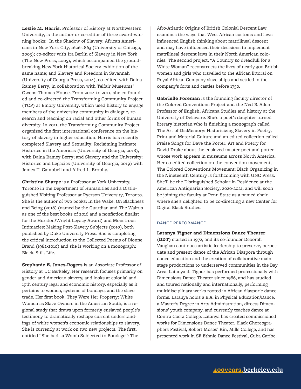**Leslie M. Harris**, Professor of History at Northwestern University, is the author or co-editor of three award-winning books: In the Shadow of Slavery: African Americans in New York City, 1626-1863 (University of Chicago, 2003); co-editor with Ira Berlin of Slavery in New York (The New Press, 2005), which accompanied the groundbreaking New-York Historical Society exhibition of the same name; and Slavery and Freedom in Savannah (University of Georgia Press, 2014), co-edited with Daina Ramey Berry, in collaboration with Telfair Museums' Owens-Thomas House. From 2004 to 2011, she co-founded and co-directed the Transforming Community Project (TCP) at Emory University, which used history to engage members of the university community in dialogue, research and teaching on racial and other forms of human diversity. In 2011, the Transforming Community Project organized the first international conference on the history of slavery in higher education. Harris has recently completed Slavery and Sexuality: Reclaiming Intimate Histories in the Americas (University of Georgia, 2018), with Daina Ramey Berry; and Slavery and the University: Histories and Legacies (University of Georgia, 2019) with James T. Campbell and Alfred L. Brophy.

**Christina Sharpe** is a Professor at York University, Toronto in the Department of Humanities and a Distinguished Visiting Professor at Ryerson University, Toronto. She is the author of two books: In the Wake: On Blackness and Being (2016) (named by the Guardian and The Walrus as one of the best books of 2016 and a nonfiction finalist for the Hurston/Wright Legacy Award) and Monstrous Intimacies: Making Post-Slavery Subjects (2010), both published by Duke University Press. She is completing the critical introduction to the Collected Poems of Dionne Brand (1982-2010) and she is working on a monograph: Black. Still. Life.

**Stephanie E. Jones-Rogers** is an Associate Professor of History at UC Berkeley. Her research focuses primarily on gender and American slavery, and looks at colonial and 19th century legal and economic history, especially as it pertains to women, systems of bondage, and the slave trade. Her first book, They Were Her Property: White Women as Slave Owners in the American South, is a regional study that draws upon formerly enslaved people's testimony to dramatically reshape current understandings of white women's economic relationships to slavery. She is currently at work on two new projects. The first, entitled "She had…a Womb Subjected to Bondage": The

Afro-Atlantic Origins of British Colonial Descent Law, examines the ways that West African customs and laws influenced English thinking about matrilineal descent and may have influenced their decisions to implement matrilineal descent laws in their North American colonies. The second project, "A Country so dreadfull for a White Woman" reconstructs the lives of nearly 300 British women and girls who travelled to the African littoral on Royal African Company slave ships and settled in the company's forts and castles before 1750.

**Gabrielle Foreman** is the founding faculty director of the Colored Conventions Project and the Ned B. Allen Professor of English, Africana Studies and history at the University of Delaware. She's a poet's daughter turned literary historian who is finishing a monograph called The Art of DisMemory: Historicizing Slavery in Poetry, Print and Material Culture and an edited collection called Praise Songs for Dave the Potter: Art and Poetry for David Drake about the enslaved master poet and potter whose work appears in museums across North America. Her co-edited collection on the convention movement, The Colored Conventions Movement: Black Organizing in the Nineteenth Century is forthcoming with UNC Press. She'll be the Distinguished Scholar in Residence at the American Antiquarian Society, 2020-2021, and will soon be joining the faculty at Penn State as a named chair where she's delighted to be co-directing a new Center for Digital Black Studies.

#### DANCE PERFORMANCE

**Latanya Tigner and Dimensions Dance Theater (DDT)** started in 1972, and its co-founder Deborah Vaughan continues artistic leadership to preserve, perpetuate and present dance of the African Diaspora through dance education and the creation of collaborative main stage productions to underserved communities in the Bay Area. Latanya d. Tigner has performed professionally with Dimensions Dance Theater since 1986, and has studied and toured nationally and internationally, performing multidisciplinary works rooted in African diasporic dance forms. Latanya holds a B.A. in Physical Education/Dance, a Master's Degree in Arts Administration, directs Dimensions' youth company, and currently teaches dance at Contra Costa College. Latanya has created commissioned works for Dimensions Dance Theater, Black Choreographers Festival, Robert Moses' Kin, Mills College, and has presented work in SF Ethnic Dance Festival, Cuba Caribe,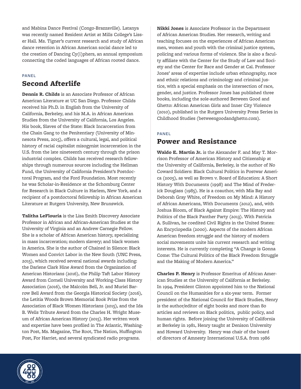and Mabina Dance Festival (Congo-Brazzaville). Latanya was recently named Resident Artist at Mills College's Lisser Hall. Ms. Tigner's current research and study of African dance retention in African American social dance led to the creation of Dancing Cy(i)phers, an annual symposium connecting the coded languages of African rooted dance.

#### PANEL

# Second Afterlife

**Dennis R. Childs** is an Associate Professor of African American Literature at UC San Diego. Professor Childs received his Ph.D. in English from the University of California, Berkeley, and his M.A. in African American Studies from the University of California, Los Angeles. His book, Slaves of the State: Black Incarceration from the Chain Gang to the Penitentiary (University of Minnesota Press, 2015), offers a cultural, legal, and political history of racial capitalist misogynist incarceration in the U.S. from the late nineteenth century through the prison industrial complex. Childs has received research fellowships through numerous sources including the Hellman Fund, the University of California President's Postdoctoral Program, and the Ford Foundation. Most recently he was Scholar-in-Residence at the Schomburg Center for Research in Black Culture in Harlem, New York, and a recipient of a postdoctoral fellowship in African American Literature at Rutgers University, New Brunswick.

**Talitha LeFlouria** is the Lisa Smith Discovery Associate Professor in African and African-American Studies at the University of Virginia and an Andrew Carnegie Fellow. She is a scholar of African American history, specializing in mass incarceration; modern slavery; and black women in America. She is the author of Chained in Silence: Black Women and Convict Labor in the New South (UNC Press, 2015), which received several national awards including: the Darlene Clark Hine Award from the Organization of American Historians (2016), the Philip Taft Labor History Award from Cornell University and Working-Class History Association (2016), the Malcolm Bell, Jr. and Muriel Barrow Bell Award from the Georgia Historical Society (2016), the Letitia Woods Brown Memorial Book Prize from the Association of Black Women Historians (2015), and the Ida B. Wells Tribute Award from the Charles H. Wright Museum of African American History (2015). Her written work and expertise have been profiled in The Atlantic, Washington Post, Ms. Magazine, The Root, The Nation, Huffington Post, For Harriet, and several syndicated radio programs.

**Nikki Jones** is Associate Professor in the Department of African American Studies. Her research, writing and teaching focuses on the experiences of African American men, women and youth with the criminal justice system, policing and various forms of violence. She is also a faculty affiliate with the Center for the Study of Law and Society and the Center for Race and Gender at Cal. Professor Jones' areas of expertise include urban ethnography, race and ethnic relations and criminology and criminal justice, with a special emphasis on the intersection of race, gender, and justice. Professor Jones has published three books, including the sole-authored Between Good and Ghetto: African American Girls and Inner City Violence (2010), published in the Rutgers University Press Series in Childhood Studies (betweengoodandghetto.com).

#### PANEL

# Power and Resistance

**Waldo E. Martin Jr.** is the Alexander F. and May T. Morrison Professor of American History and Citizenship at the University of California, Berkeley, is the author of No Coward Soldiers: Black Cultural Politics in Postwar America (2005), as well as Brown v. Board of Education: A Short History With Documents (1998) and The Mind of Frederick Douglass (1985). He is a coauthor, with Mia Bay and Deborah Gray White, of Freedom on My Mind: A History of African Americans, With Documents (2012), and, with Joshua Bloom, of Black Against Empire: The History and Politics of the Black Panther Party (2013). With Patricia A. Sullivan, he coedited Civil Rights in the United States: An Encyclopedia (2000). Aspects of the modern African American freedom struggle and the history of modern social movements unite his current research and writing interests. He is currently completing "A Change is Gonna Come: The Cultural Politics of the Black Freedom Struggle and the Making of Modern America."

**Charles P. Henry** is Professor Emeritus of African American Studies at the University of California at Berkeley. In 1994, President Clinton appointed him to the National Council on the Humanities for a six-year term. Former president of the National Council for Black Studies, Henry is the author/editor of eight books and more than 80 articles and reviews on Black politics, public policy, and human rights. Before joining the University of California at Berkeley in 1981, Henry taught at Denison University and Howard University. Henry was chair of the board of directors of Amnesty International U.S.A. from 1986

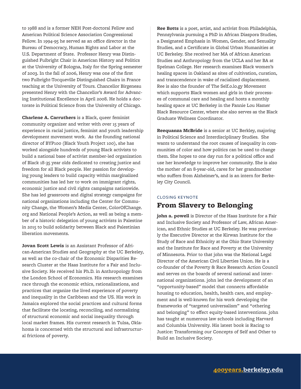to 1988 and is a former NEH Post-doctoral Fellow and American Political Science Association Congressional Fellow. In 1994-95 he served as an office director in the Bureau of Democracy, Human Rights and Labor at the U.S. Department of State. Professor Henry was Distinguished Fulbright Chair in American History and Politics at the University of Bologna, Italy for the Spring semester of 2003. In the fall of 2006, Henry was one of the first two Fulbright-Tocqueville Distinguished Chairs in France teaching at the University of Tours. Chancellor Birgeneau presented Henry with the Chancellor's Award for Advancing Institutional Excellence in April 2008. He holds a doctorate in Political Science from the University of Chicago.

**Charlene A. Carruthers** is a Black, queer feminist community organizer and writer with over 15 years of experience in racial justice, feminist and youth leadership development movement work. As the founding national director of BYP100 (Black Youth Project 100), she has worked alongside hundreds of young Black activists to build a national base of activist member-led organization of Black 18-35 year olds dedicated to creating justice and freedom for all Black people. Her passion for developing young leaders to build capacity within marginalized communities has led her to work on immigrant rights, economic justice and civil rights campaigns nationwide. She has led grassroots and digital strategy campaigns for national organizations including the Center for Community Change, the Women's Media Center, ColorOfChange. org and National People's Action, as well as being a member of a historic delegation of young activists in Palestine in 2015 to build solidarity between Black and Palestinian liberation movements.

**Jovan Scott Lewis** is an Assistant Professor of African-American Studies and Geography at the UC Berkeley, as well as the co-chair of the Economic Disparities Research Cluster at the Haas Institute for a Fair and Inclusive Society. He received his Ph.D. in Anthropology from the London School of Economics. His research examines race through the economic ethics, rationalizations, and practices that organize the lived experience of poverty and inequality in the Caribbean and the US. His work in Jamaica explored the social practices and cultural forms that facilitate the locating, reconciling, and normalizing of structural economic and social inequality through local market frames. His current research in Tulsa, Oklahoma is concerned with the structural and infrastructural frictions of poverty.

**Ree Botts** is a poet, artist, and activist from Philadelphia, Pennsylvania pursuing a PhD in African Diaspora Studies, a Designated Emphasis in Women, Gender, and Sexuality Studies, and a Certificate in Global Urban Humanities at UC Berkeley. She received her MA of African American Studies and Anthropology from the UCLA and her BA at Spelman College. Her research examines Black women's healing spaces in Oakland as sites of cultivation, curation, and transcendence in wake of racialized displacement. Ree is also the founder of The Self.o.lo.gy Movement which supports Black women and girls in their processes of communal care and healing and hosts a monthly healing space at UC Berkeley in the Fannie Lou Hamer Black Resource Center, where she also serves as the Black Graduate Wellness Coordinator.

**Reequanza McBride** is a senior at UC Berkley, majoring in Political Science and Interdisciplinary Studies. She wants to understand the root causes of inequality in communities of color and how politics can be used to change them. She hopes to one day run for a political office and use her knowledge to improve her community. She is also the mother of an 8-year-old, cares for her grandmother who suffers from Alzheimer's, and is an intern for Berkeley City Council.

## CLOSING KEYNOTE From Slavery to Belonging

**john a. powell** is Director of the Haas Institute for a Fair and Inclusive Society and Professor of Law, African American, and Ethnic Studies at UC Berkeley. He was previously the Executive Director at the Kirwan Institute for the Study of Race and Ethnicity at the Ohio State University and the Institute for Race and Poverty at the University of Minnesota. Prior to that john was the National Legal Director of the American Civil Liberties Union. He is a co-founder of the Poverty & Race Research Action Council and serves on the boards of several national and international organizations. john led the development of an "opportunity-based" model that connects affordable housing to education, health, health care, and employment and is well-known for his work developing the frameworks of "targeted universalism" and "othering and belonging" to effect equity-based interventions. john has taught at numerous law schools including Harvard and Columbia University. His latest book is Racing to Justice: Transforming our Concepts of Self and Other to Build an Inclusive Society.